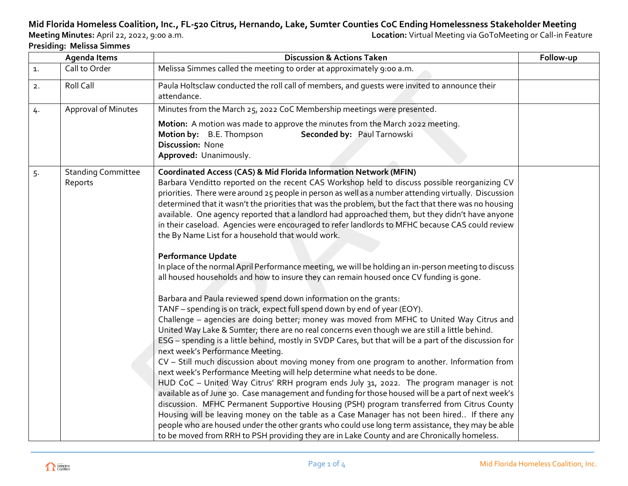## **Mid Florida Homeless Coalition, Inc., FL-520 Citrus, Hernando, Lake, Sumter Counties CoC Ending Homelessness Stakeholder Meeting**

**Presiding: Melissa Simmes**

**Location:** Virtual Meeting via GoToMeeting or Call-in Feature

| <b>Agenda Items</b> |                                                                                                | <b>Discussion &amp; Actions Taken</b>                                                                                                                                                                                                                                                                                                                                                                                                                                                                                                                                                                                                                                                                                                                                                                                                                                                                                                                                                                                                                                                                                                                                                                                                                                                                                                                                                                                                                                                                                                                                                                                                                                                                                                                                                                                                                                                                                                                                                                                                                                      | Follow-up |
|---------------------|------------------------------------------------------------------------------------------------|----------------------------------------------------------------------------------------------------------------------------------------------------------------------------------------------------------------------------------------------------------------------------------------------------------------------------------------------------------------------------------------------------------------------------------------------------------------------------------------------------------------------------------------------------------------------------------------------------------------------------------------------------------------------------------------------------------------------------------------------------------------------------------------------------------------------------------------------------------------------------------------------------------------------------------------------------------------------------------------------------------------------------------------------------------------------------------------------------------------------------------------------------------------------------------------------------------------------------------------------------------------------------------------------------------------------------------------------------------------------------------------------------------------------------------------------------------------------------------------------------------------------------------------------------------------------------------------------------------------------------------------------------------------------------------------------------------------------------------------------------------------------------------------------------------------------------------------------------------------------------------------------------------------------------------------------------------------------------------------------------------------------------------------------------------------------------|-----------|
| $\mathbf{1}$ .      | Call to Order                                                                                  | Melissa Simmes called the meeting to order at approximately 9:00 a.m.                                                                                                                                                                                                                                                                                                                                                                                                                                                                                                                                                                                                                                                                                                                                                                                                                                                                                                                                                                                                                                                                                                                                                                                                                                                                                                                                                                                                                                                                                                                                                                                                                                                                                                                                                                                                                                                                                                                                                                                                      |           |
| 2.                  | Roll Call                                                                                      | Paula Holtsclaw conducted the roll call of members, and quests were invited to announce their<br>attendance.                                                                                                                                                                                                                                                                                                                                                                                                                                                                                                                                                                                                                                                                                                                                                                                                                                                                                                                                                                                                                                                                                                                                                                                                                                                                                                                                                                                                                                                                                                                                                                                                                                                                                                                                                                                                                                                                                                                                                               |           |
| 4.                  | Approval of Minutes<br>Minutes from the March 25, 2022 CoC Membership meetings were presented. |                                                                                                                                                                                                                                                                                                                                                                                                                                                                                                                                                                                                                                                                                                                                                                                                                                                                                                                                                                                                                                                                                                                                                                                                                                                                                                                                                                                                                                                                                                                                                                                                                                                                                                                                                                                                                                                                                                                                                                                                                                                                            |           |
|                     |                                                                                                | Motion: A motion was made to approve the minutes from the March 2022 meeting.<br>Motion by: B.E. Thompson<br>Seconded by: Paul Tarnowski<br>Discussion: None<br>Approved: Unanimously.                                                                                                                                                                                                                                                                                                                                                                                                                                                                                                                                                                                                                                                                                                                                                                                                                                                                                                                                                                                                                                                                                                                                                                                                                                                                                                                                                                                                                                                                                                                                                                                                                                                                                                                                                                                                                                                                                     |           |
| 5.                  | <b>Standing Committee</b><br>Reports                                                           | <b>Coordinated Access (CAS) &amp; Mid Florida Information Network (MFIN)</b><br>Barbara Venditto reported on the recent CAS Workshop held to discuss possible reorganizing CV<br>priorities. There were around 25 people in person as well as a number attending virtually. Discussion<br>determined that it wasn't the priorities that was the problem, but the fact that there was no housing<br>available. One agency reported that a landlord had approached them, but they didn't have anyone<br>in their caseload. Agencies were encouraged to refer landlords to MFHC because CAS could review<br>the By Name List for a household that would work.<br><b>Performance Update</b><br>In place of the normal April Performance meeting, we will be holding an in-person meeting to discuss<br>all housed households and how to insure they can remain housed once CV funding is gone.<br>Barbara and Paula reviewed spend down information on the grants:<br>TANF - spending is on track, expect full spend down by end of year (EOY).<br>Challenge - agencies are doing better; money was moved from MFHC to United Way Citrus and<br>United Way Lake & Sumter; there are no real concerns even though we are still a little behind.<br>ESG - spending is a little behind, mostly in SVDP Cares, but that will be a part of the discussion for<br>next week's Performance Meeting.<br>CV - Still much discussion about moving money from one program to another. Information from<br>next week's Performance Meeting will help determine what needs to be done.<br>HUD CoC - United Way Citrus' RRH program ends July 31, 2022. The program manager is not<br>available as of June 30. Case management and funding for those housed will be a part of next week's<br>discussion. MFHC Permanent Supportive Housing (PSH) program transferred from Citrus County<br>Housing will be leaving money on the table as a Case Manager has not been hired If there any<br>people who are housed under the other grants who could use long term assistance, they may be able |           |
|                     |                                                                                                | to be moved from RRH to PSH providing they are in Lake County and are Chronically homeless.                                                                                                                                                                                                                                                                                                                                                                                                                                                                                                                                                                                                                                                                                                                                                                                                                                                                                                                                                                                                                                                                                                                                                                                                                                                                                                                                                                                                                                                                                                                                                                                                                                                                                                                                                                                                                                                                                                                                                                                |           |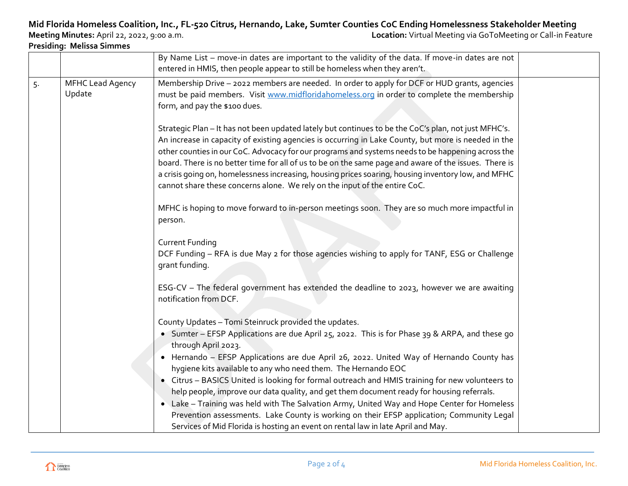## **Mid Florida Homeless Coalition, Inc., FL-520 Citrus, Hernando, Lake, Sumter Counties CoC Ending Homelessness Stakeholder Meeting**

**Presiding: Melissa Simmes**

**Location:** Virtual Meeting via GoToMeeting or Call-in Feature

|    |                                   | By Name List – move-in dates are important to the validity of the data. If move-in dates are not<br>entered in HMIS, then people appear to still be homeless when they aren't.                                                                                                                                                                                                                                                                                                                                                                                                                                 |  |
|----|-----------------------------------|----------------------------------------------------------------------------------------------------------------------------------------------------------------------------------------------------------------------------------------------------------------------------------------------------------------------------------------------------------------------------------------------------------------------------------------------------------------------------------------------------------------------------------------------------------------------------------------------------------------|--|
| 5. | <b>MFHC Lead Agency</b><br>Update | Membership Drive - 2022 members are needed. In order to apply for DCF or HUD grants, agencies<br>must be paid members. Visit www.midfloridahomeless.org in order to complete the membership<br>form, and pay the \$100 dues.                                                                                                                                                                                                                                                                                                                                                                                   |  |
|    |                                   | Strategic Plan - It has not been updated lately but continues to be the CoC's plan, not just MFHC's.<br>An increase in capacity of existing agencies is occurring in Lake County, but more is needed in the<br>other counties in our CoC. Advocacy for our programs and systems needs to be happening across the<br>board. There is no better time for all of us to be on the same page and aware of the issues. There is<br>a crisis going on, homelessness increasing, housing prices soaring, housing inventory low, and MFHC<br>cannot share these concerns alone. We rely on the input of the entire CoC. |  |
|    |                                   | MFHC is hoping to move forward to in-person meetings soon. They are so much more impactful in<br>person.                                                                                                                                                                                                                                                                                                                                                                                                                                                                                                       |  |
|    |                                   | <b>Current Funding</b><br>DCF Funding - RFA is due May 2 for those agencies wishing to apply for TANF, ESG or Challenge<br>grant funding.                                                                                                                                                                                                                                                                                                                                                                                                                                                                      |  |
|    |                                   | ESG-CV - The federal government has extended the deadline to 2023, however we are awaiting<br>notification from DCF.                                                                                                                                                                                                                                                                                                                                                                                                                                                                                           |  |
|    |                                   | County Updates - Tomi Steinruck provided the updates.                                                                                                                                                                                                                                                                                                                                                                                                                                                                                                                                                          |  |
|    |                                   | • Sumter - EFSP Applications are due April 25, 2022. This is for Phase 39 & ARPA, and these go<br>through April 2023.                                                                                                                                                                                                                                                                                                                                                                                                                                                                                          |  |
|    |                                   | • Hernando - EFSP Applications are due April 26, 2022. United Way of Hernando County has<br>hygiene kits available to any who need them. The Hernando EOC                                                                                                                                                                                                                                                                                                                                                                                                                                                      |  |
|    |                                   | • Citrus - BASICS United is looking for formal outreach and HMIS training for new volunteers to<br>help people, improve our data quality, and get them document ready for housing referrals.                                                                                                                                                                                                                                                                                                                                                                                                                   |  |
|    |                                   | • Lake - Training was held with The Salvation Army, United Way and Hope Center for Homeless<br>Prevention assessments. Lake County is working on their EFSP application; Community Legal<br>Services of Mid Florida is hosting an event on rental law in late April and May.                                                                                                                                                                                                                                                                                                                                   |  |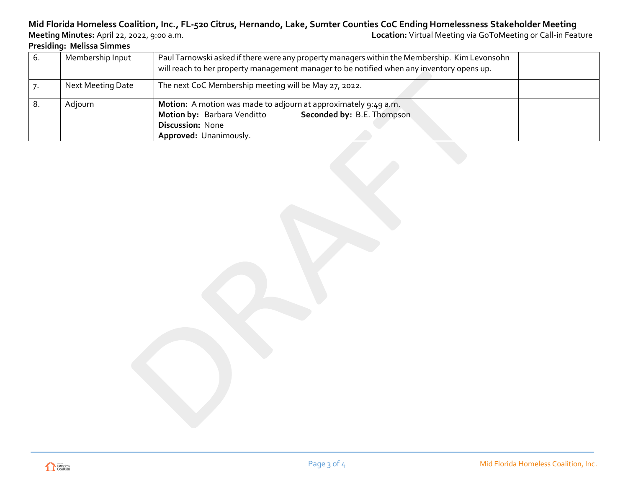## **Mid Florida Homeless Coalition, Inc., FL-520 Citrus, Hernando, Lake, Sumter Counties CoC Ending Homelessness Stakeholder Meeting**

**Presiding: Melissa Simmes**

**Location:** Virtual Meeting via GoToMeeting or Call-in Feature

| Membership Input  | Paul Tarnowski asked if there were any property managers within the Membership. Kim Levonsohn<br>will reach to her property management manager to be notified when any inventory opens up. |  |  |
|-------------------|--------------------------------------------------------------------------------------------------------------------------------------------------------------------------------------------|--|--|
| Next Meeting Date | The next CoC Membership meeting will be May 27, 2022.                                                                                                                                      |  |  |
| Adjourn           | <b>Motion:</b> A motion was made to adjourn at approximately 9:49 a.m.<br>Seconded by: B.E. Thompson<br>Motion by: Barbara Venditto<br><b>Discussion: None</b><br>Approved: Unanimously.   |  |  |